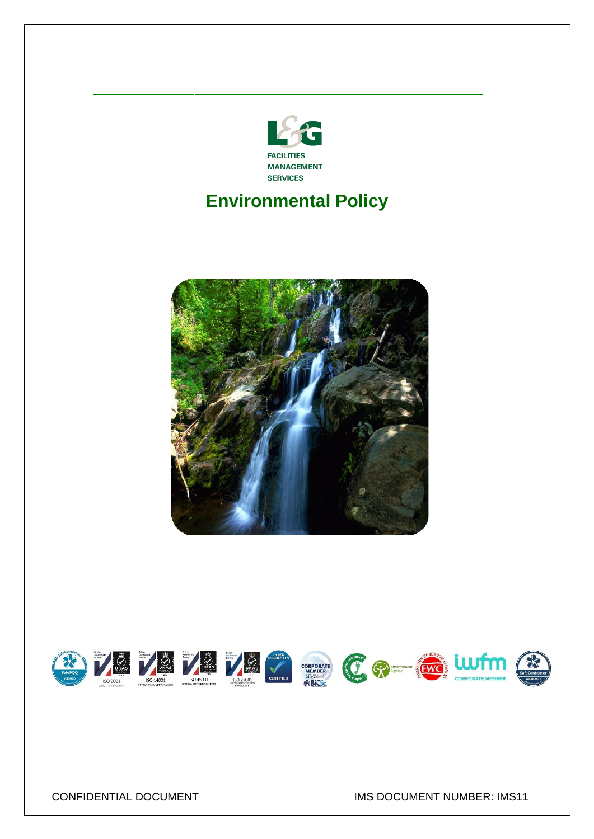

# **Environmental Policy**



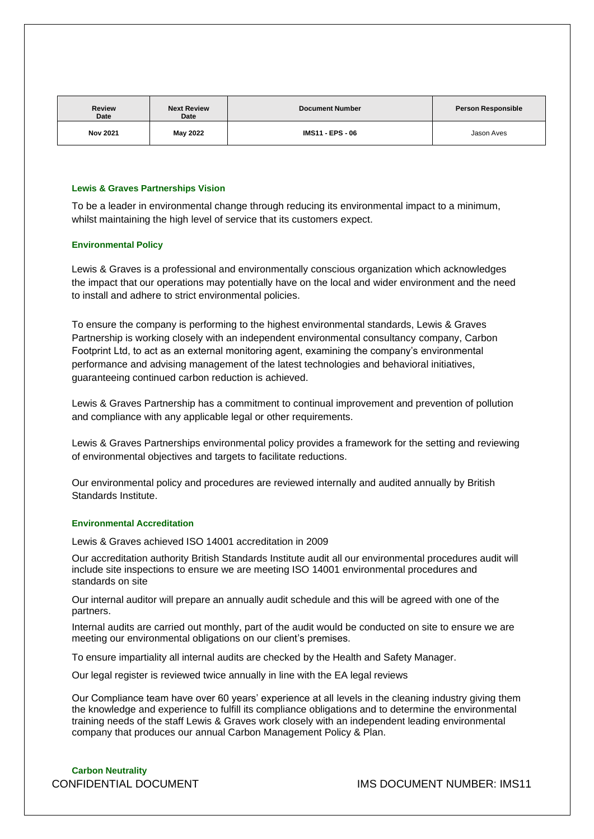| <b>Review</b><br><b>Date</b> | <b>Next Review</b><br>Date | <b>Document Number</b>  | <b>Person Responsible</b> |
|------------------------------|----------------------------|-------------------------|---------------------------|
| <b>Nov 2021</b>              | May 2022                   | <b>IMS11 - EPS - 06</b> | Jason Aves                |

#### **Lewis & Graves Partnerships Vision**

To be a leader in environmental change through reducing its environmental impact to a minimum, whilst maintaining the high level of service that its customers expect.

#### **Environmental Policy**

Lewis & Graves is a professional and environmentally conscious organization which acknowledges the impact that our operations may potentially have on the local and wider environment and the need to install and adhere to strict environmental policies.

To ensure the company is performing to the highest environmental standards, Lewis & Graves Partnership is working closely with an independent environmental consultancy company, Carbon Footprint Ltd, to act as an external monitoring agent, examining the company's environmental performance and advising management of the latest technologies and behavioral initiatives, guaranteeing continued carbon reduction is achieved.

Lewis & Graves Partnership has a commitment to continual improvement and prevention of pollution and compliance with any applicable legal or other requirements.

Lewis & Graves Partnerships environmental policy provides a framework for the setting and reviewing of environmental objectives and targets to facilitate reductions.

Our environmental policy and procedures are reviewed internally and audited annually by British Standards Institute.

#### **Environmental Accreditation**

Lewis & Graves achieved ISO 14001 accreditation in 2009

Our accreditation authority British Standards Institute audit all our environmental procedures audit will include site inspections to ensure we are meeting ISO 14001 environmental procedures and standards on site

Our internal auditor will prepare an annually audit schedule and this will be agreed with one of the partners.

Internal audits are carried out monthly, part of the audit would be conducted on site to ensure we are meeting our environmental obligations on our client's premises.

To ensure impartiality all internal audits are checked by the Health and Safety Manager.

Our legal register is reviewed twice annually in line with the EA legal reviews

Our Compliance team have over 60 years' experience at all levels in the cleaning industry giving them the knowledge and experience to fulfill its compliance obligations and to determine the environmental training needs of the staff Lewis & Graves work closely with an independent leading environmental company that produces our annual Carbon Management Policy & Plan.

**Carbon Neutrality**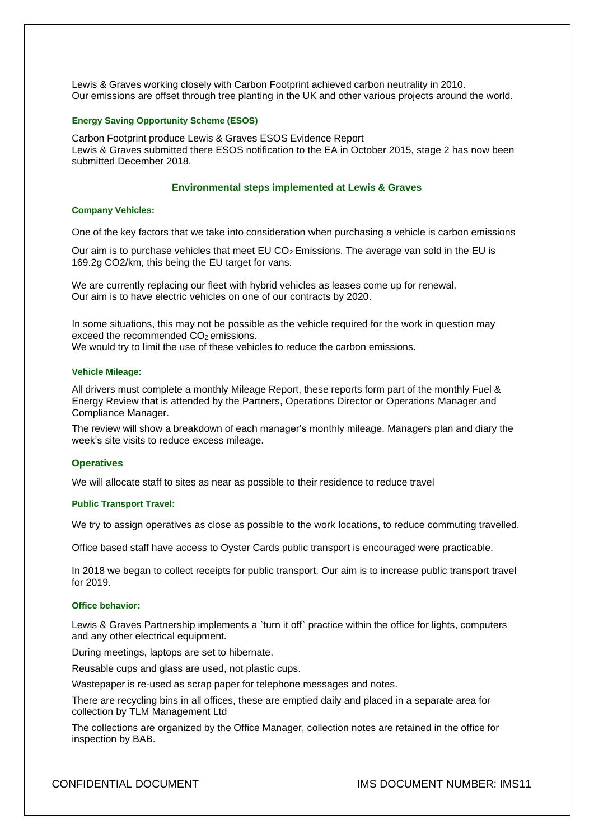Lewis & Graves working closely with Carbon Footprint achieved carbon neutrality in 2010. Our emissions are offset through tree planting in the UK and other various projects around the world.

#### **Energy Saving Opportunity Scheme (ESOS)**

Carbon Footprint produce Lewis & Graves ESOS Evidence Report Lewis & Graves submitted there ESOS notification to the EA in October 2015, stage 2 has now been submitted December 2018.

#### **Environmental steps implemented at Lewis & Graves**

#### **Company Vehicles:**

One of the key factors that we take into consideration when purchasing a vehicle is carbon emissions

Our aim is to purchase vehicles that meet EU  $CO<sub>2</sub>$  Emissions. The average van sold in the EU is 169.2g CO2/km, this being the EU target for vans.

We are currently replacing our fleet with hybrid vehicles as leases come up for renewal. Our aim is to have electric vehicles on one of our contracts by 2020.

In some situations, this may not be possible as the vehicle required for the work in question may exceed the recommended CO<sub>2</sub> emissions.

We would try to limit the use of these vehicles to reduce the carbon emissions.

#### **Vehicle Mileage:**

All drivers must complete a monthly Mileage Report, these reports form part of the monthly Fuel & Energy Review that is attended by the Partners, Operations Director or Operations Manager and Compliance Manager.

The review will show a breakdown of each manager's monthly mileage. Managers plan and diary the week's site visits to reduce excess mileage.

#### **Operatives**

We will allocate staff to sites as near as possible to their residence to reduce travel

#### **Public Transport Travel:**

We try to assign operatives as close as possible to the work locations, to reduce commuting travelled.

Office based staff have access to Oyster Cards public transport is encouraged were practicable.

In 2018 we began to collect receipts for public transport. Our aim is to increase public transport travel for 2019.

#### **Office behavior:**

Lewis & Graves Partnership implements a `turn it off` practice within the office for lights, computers and any other electrical equipment.

During meetings, laptops are set to hibernate.

Reusable cups and glass are used, not plastic cups.

Wastepaper is re-used as scrap paper for telephone messages and notes.

There are recycling bins in all offices, these are emptied daily and placed in a separate area for collection by TLM Management Ltd

The collections are organized by the Office Manager, collection notes are retained in the office for inspection by BAB.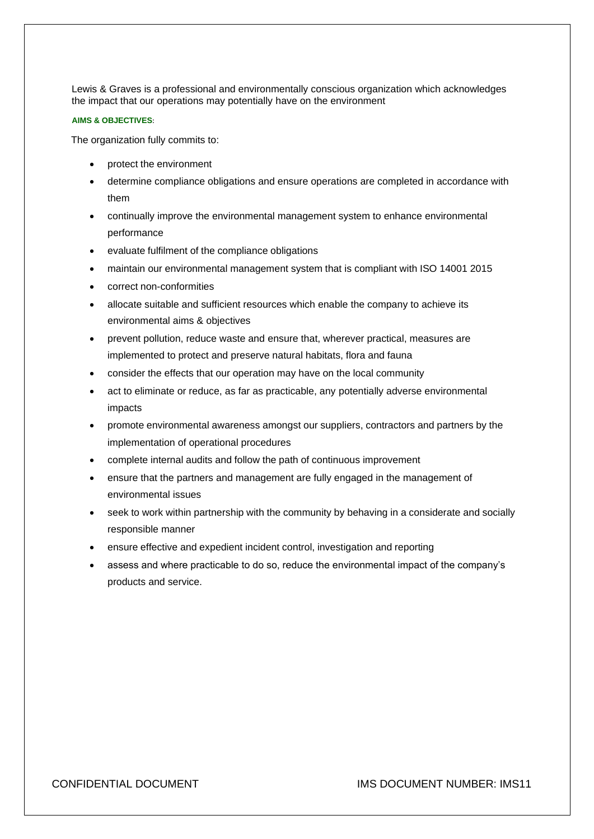Lewis & Graves is a professional and environmentally conscious organization which acknowledges the impact that our operations may potentially have on the environment

#### **AIMS & OBJECTIVES**:

The organization fully commits to:

- protect the environment
- determine compliance obligations and ensure operations are completed in accordance with them
- continually improve the environmental management system to enhance environmental performance
- evaluate fulfilment of the compliance obligations
- maintain our environmental management system that is compliant with ISO 14001 2015
- correct non-conformities
- allocate suitable and sufficient resources which enable the company to achieve its environmental aims & objectives
- prevent pollution, reduce waste and ensure that, wherever practical, measures are implemented to protect and preserve natural habitats, flora and fauna
- consider the effects that our operation may have on the local community
- act to eliminate or reduce, as far as practicable, any potentially adverse environmental impacts
- promote environmental awareness amongst our suppliers, contractors and partners by the implementation of operational procedures
- complete internal audits and follow the path of continuous improvement
- ensure that the partners and management are fully engaged in the management of environmental issues
- seek to work within partnership with the community by behaving in a considerate and socially responsible manner
- ensure effective and expedient incident control, investigation and reporting
- assess and where practicable to do so, reduce the environmental impact of the company's products and service.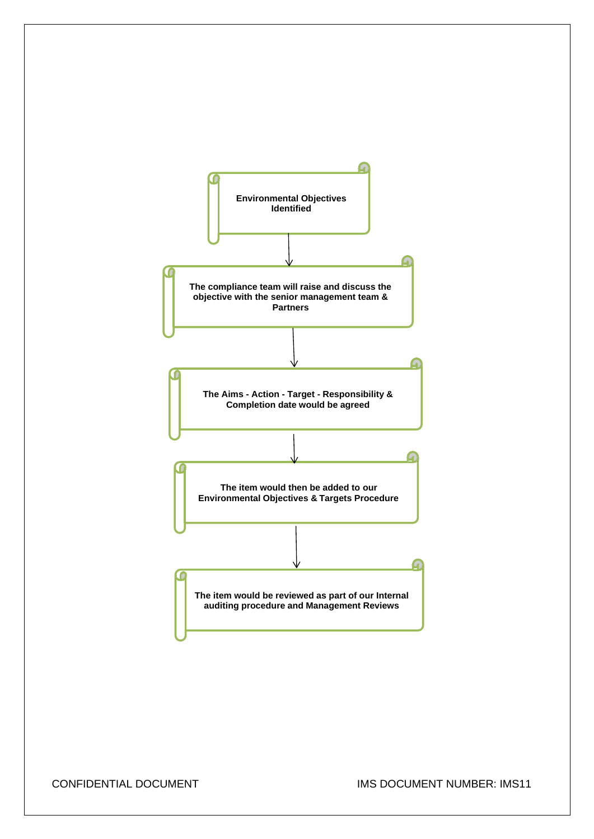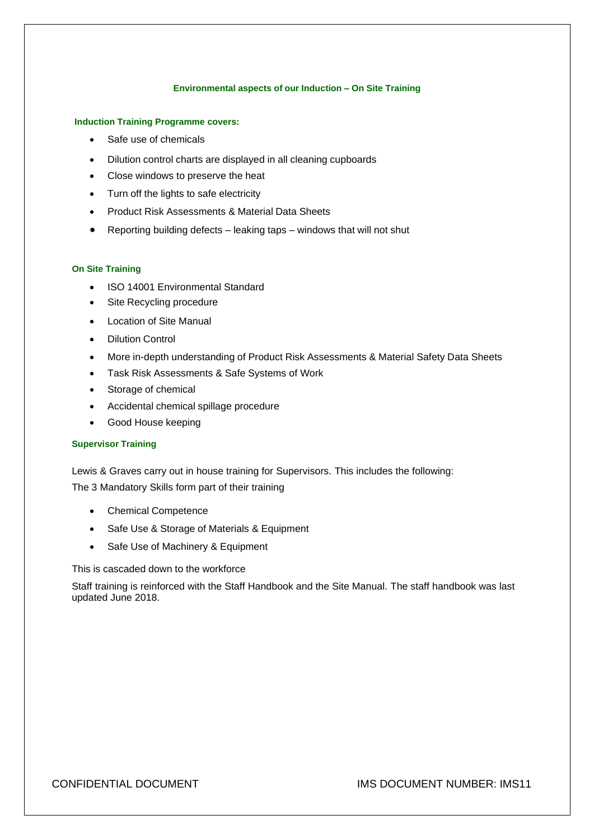#### **Environmental aspects of our Induction – On Site Training**

#### **Induction Training Programme covers:**

- Safe use of chemicals
- Dilution control charts are displayed in all cleaning cupboards
- Close windows to preserve the heat
- Turn off the lights to safe electricity
- Product Risk Assessments & Material Data Sheets
- Reporting building defects leaking taps windows that will not shut

#### **On Site Training**

- ISO 14001 Environmental Standard
- Site Recycling procedure
- Location of Site Manual
- Dilution Control
- More in-depth understanding of Product Risk Assessments & Material Safety Data Sheets
- Task Risk Assessments & Safe Systems of Work
- Storage of chemical
- Accidental chemical spillage procedure
- Good House keeping

### **Supervisor Training**

Lewis & Graves carry out in house training for Supervisors. This includes the following: The 3 Mandatory Skills form part of their training

- Chemical Competence
- Safe Use & Storage of Materials & Equipment
- Safe Use of Machinery & Equipment

This is cascaded down to the workforce

Staff training is reinforced with the Staff Handbook and the Site Manual. The staff handbook was last updated June 2018.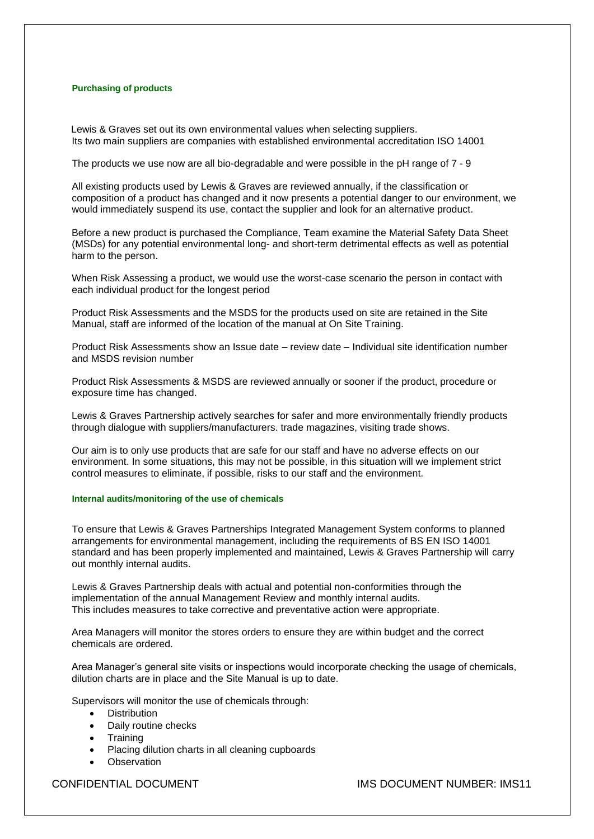#### **Purchasing of products**

 Lewis & Graves set out its own environmental values when selecting suppliers. Its two main suppliers are companies with established environmental accreditation ISO 14001

The products we use now are all bio-degradable and were possible in the pH range of 7 - 9

All existing products used by Lewis & Graves are reviewed annually, if the classification or composition of a product has changed and it now presents a potential danger to our environment, we would immediately suspend its use, contact the supplier and look for an alternative product.

Before a new product is purchased the Compliance, Team examine the Material Safety Data Sheet (MSDs) for any potential environmental long- and short-term detrimental effects as well as potential harm to the person.

When Risk Assessing a product, we would use the worst-case scenario the person in contact with each individual product for the longest period

Product Risk Assessments and the MSDS for the products used on site are retained in the Site Manual, staff are informed of the location of the manual at On Site Training.

Product Risk Assessments show an Issue date – review date – Individual site identification number and MSDS revision number

Product Risk Assessments & MSDS are reviewed annually or sooner if the product, procedure or exposure time has changed.

Lewis & Graves Partnership actively searches for safer and more environmentally friendly products through dialogue with suppliers/manufacturers. trade magazines, visiting trade shows.

Our aim is to only use products that are safe for our staff and have no adverse effects on our environment. In some situations, this may not be possible, in this situation will we implement strict control measures to eliminate, if possible, risks to our staff and the environment.

#### **Internal audits/monitoring of the use of chemicals**

To ensure that Lewis & Graves Partnerships Integrated Management System conforms to planned arrangements for environmental management, including the requirements of BS EN ISO 14001 standard and has been properly implemented and maintained, Lewis & Graves Partnership will carry out monthly internal audits.

Lewis & Graves Partnership deals with actual and potential non-conformities through the implementation of the annual Management Review and monthly internal audits. This includes measures to take corrective and preventative action were appropriate.

Area Managers will monitor the stores orders to ensure they are within budget and the correct chemicals are ordered.

Area Manager's general site visits or inspections would incorporate checking the usage of chemicals, dilution charts are in place and the Site Manual is up to date.

Supervisors will monitor the use of chemicals through:

- Distribution
- Daily routine checks
- **Training**
- Placing dilution charts in all cleaning cupboards
- **Observation**